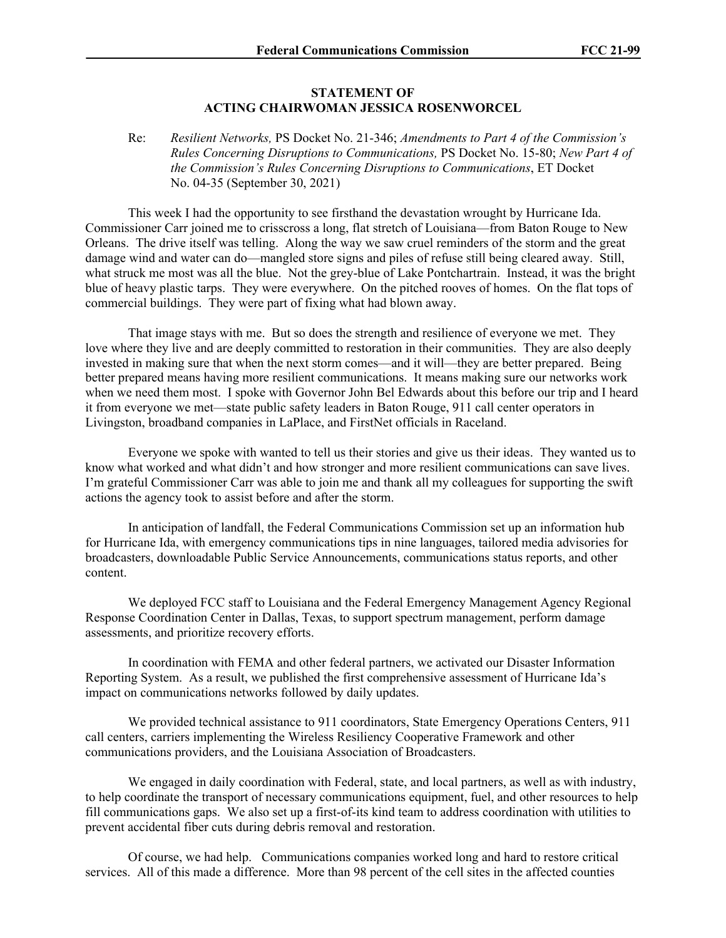## **STATEMENT OF ACTING CHAIRWOMAN JESSICA ROSENWORCEL**

Re: *Resilient Networks,* PS Docket No. 21-346; *Amendments to Part 4 of the Commission's Rules Concerning Disruptions to Communications,* PS Docket No. 15-80; *New Part 4 of the Commission's Rules Concerning Disruptions to Communications*, ET Docket No. 04-35 (September 30, 2021)

This week I had the opportunity to see firsthand the devastation wrought by Hurricane Ida. Commissioner Carr joined me to crisscross a long, flat stretch of Louisiana—from Baton Rouge to New Orleans. The drive itself was telling. Along the way we saw cruel reminders of the storm and the great damage wind and water can do—mangled store signs and piles of refuse still being cleared away. Still, what struck me most was all the blue. Not the grey-blue of Lake Pontchartrain. Instead, it was the bright blue of heavy plastic tarps. They were everywhere. On the pitched rooves of homes. On the flat tops of commercial buildings. They were part of fixing what had blown away.

That image stays with me. But so does the strength and resilience of everyone we met. They love where they live and are deeply committed to restoration in their communities. They are also deeply invested in making sure that when the next storm comes—and it will—they are better prepared. Being better prepared means having more resilient communications. It means making sure our networks work when we need them most. I spoke with Governor John Bel Edwards about this before our trip and I heard it from everyone we met—state public safety leaders in Baton Rouge, 911 call center operators in Livingston, broadband companies in LaPlace, and FirstNet officials in Raceland.

Everyone we spoke with wanted to tell us their stories and give us their ideas. They wanted us to know what worked and what didn't and how stronger and more resilient communications can save lives. I'm grateful Commissioner Carr was able to join me and thank all my colleagues for supporting the swift actions the agency took to assist before and after the storm.

In anticipation of landfall, the Federal Communications Commission set up an information hub for Hurricane Ida, with emergency communications tips in nine languages, tailored media advisories for broadcasters, downloadable Public Service Announcements, communications status reports, and other content.

We deployed FCC staff to Louisiana and the Federal Emergency Management Agency Regional Response Coordination Center in Dallas, Texas, to support spectrum management, perform damage assessments, and prioritize recovery efforts.

In coordination with FEMA and other federal partners, we activated our Disaster Information Reporting System. As a result, we published the first comprehensive assessment of Hurricane Ida's impact on communications networks followed by daily updates.

We provided technical assistance to 911 coordinators, State Emergency Operations Centers, 911 call centers, carriers implementing the Wireless Resiliency Cooperative Framework and other communications providers, and the Louisiana Association of Broadcasters.

We engaged in daily coordination with Federal, state, and local partners, as well as with industry, to help coordinate the transport of necessary communications equipment, fuel, and other resources to help fill communications gaps. We also set up a first-of-its kind team to address coordination with utilities to prevent accidental fiber cuts during debris removal and restoration.

Of course, we had help. Communications companies worked long and hard to restore critical services. All of this made a difference. More than 98 percent of the cell sites in the affected counties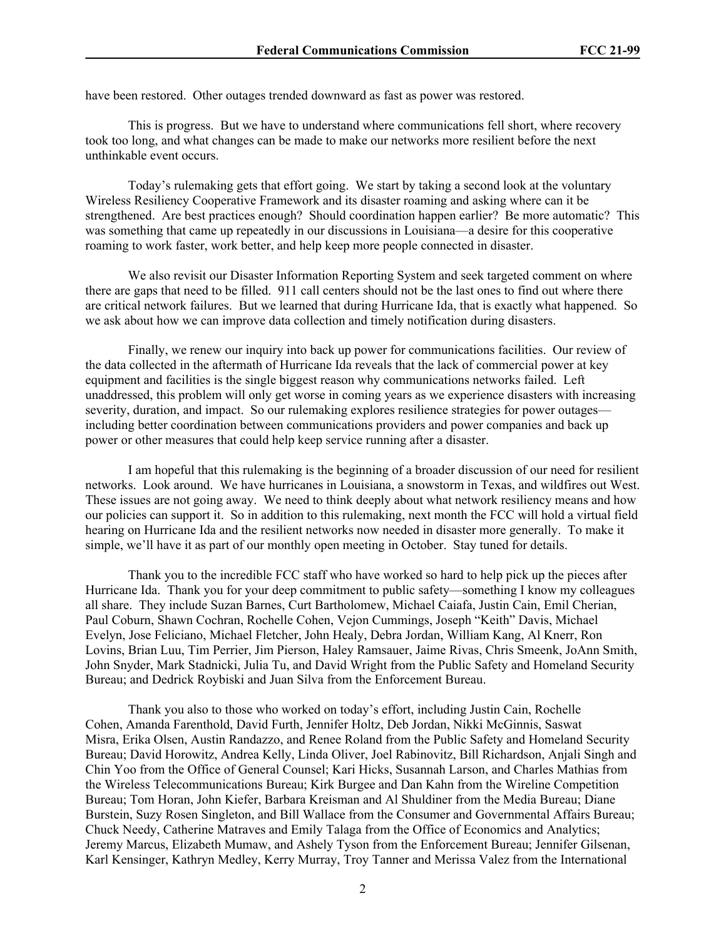have been restored. Other outages trended downward as fast as power was restored.

This is progress. But we have to understand where communications fell short, where recovery took too long, and what changes can be made to make our networks more resilient before the next unthinkable event occurs.

Today's rulemaking gets that effort going. We start by taking a second look at the voluntary Wireless Resiliency Cooperative Framework and its disaster roaming and asking where can it be strengthened. Are best practices enough? Should coordination happen earlier? Be more automatic? This was something that came up repeatedly in our discussions in Louisiana—a desire for this cooperative roaming to work faster, work better, and help keep more people connected in disaster.

We also revisit our Disaster Information Reporting System and seek targeted comment on where there are gaps that need to be filled. 911 call centers should not be the last ones to find out where there are critical network failures. But we learned that during Hurricane Ida, that is exactly what happened. So we ask about how we can improve data collection and timely notification during disasters.

Finally, we renew our inquiry into back up power for communications facilities. Our review of the data collected in the aftermath of Hurricane Ida reveals that the lack of commercial power at key equipment and facilities is the single biggest reason why communications networks failed. Left unaddressed, this problem will only get worse in coming years as we experience disasters with increasing severity, duration, and impact. So our rulemaking explores resilience strategies for power outages including better coordination between communications providers and power companies and back up power or other measures that could help keep service running after a disaster.

I am hopeful that this rulemaking is the beginning of a broader discussion of our need for resilient networks. Look around. We have hurricanes in Louisiana, a snowstorm in Texas, and wildfires out West. These issues are not going away. We need to think deeply about what network resiliency means and how our policies can support it. So in addition to this rulemaking, next month the FCC will hold a virtual field hearing on Hurricane Ida and the resilient networks now needed in disaster more generally. To make it simple, we'll have it as part of our monthly open meeting in October. Stay tuned for details.

Thank you to the incredible FCC staff who have worked so hard to help pick up the pieces after Hurricane Ida. Thank you for your deep commitment to public safety—something I know my colleagues all share. They include Suzan Barnes, Curt Bartholomew, Michael Caiafa, Justin Cain, Emil Cherian, Paul Coburn, Shawn Cochran, Rochelle Cohen, Vejon Cummings, Joseph "Keith" Davis, Michael Evelyn, Jose Feliciano, Michael Fletcher, John Healy, Debra Jordan, William Kang, Al Knerr, Ron Lovins, Brian Luu, Tim Perrier, Jim Pierson, Haley Ramsauer, Jaime Rivas, Chris Smeenk, JoAnn Smith, John Snyder, Mark Stadnicki, Julia Tu, and David Wright from the Public Safety and Homeland Security Bureau; and Dedrick Roybiski and Juan Silva from the Enforcement Bureau.

Thank you also to those who worked on today's effort, including Justin Cain, Rochelle Cohen, Amanda Farenthold, David Furth, Jennifer Holtz, Deb Jordan, Nikki McGinnis, Saswat Misra, Erika Olsen, Austin Randazzo, and Renee Roland from the Public Safety and Homeland Security Bureau; David Horowitz, Andrea Kelly, Linda Oliver, Joel Rabinovitz, Bill Richardson, Anjali Singh and Chin Yoo from the Office of General Counsel; Kari Hicks, Susannah Larson, and Charles Mathias from the Wireless Telecommunications Bureau; Kirk Burgee and Dan Kahn from the Wireline Competition Bureau; Tom Horan, John Kiefer, Barbara Kreisman and Al Shuldiner from the Media Bureau; Diane Burstein, Suzy Rosen Singleton, and Bill Wallace from the Consumer and Governmental Affairs Bureau; Chuck Needy, Catherine Matraves and Emily Talaga from the Office of Economics and Analytics; Jeremy Marcus, Elizabeth Mumaw, and Ashely Tyson from the Enforcement Bureau; Jennifer Gilsenan, Karl Kensinger, Kathryn Medley, Kerry Murray, Troy Tanner and Merissa Valez from the International